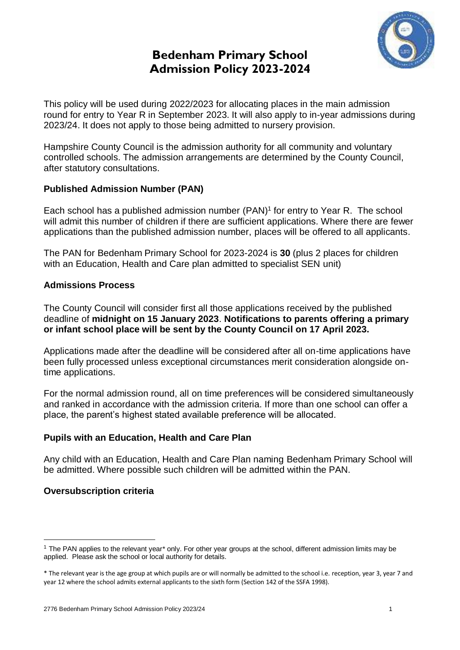# **Bedenham Primary School Admission Policy 2023-2024**



This policy will be used during 2022/2023 for allocating places in the main admission round for entry to Year R in September 2023. It will also apply to in-year admissions during 2023/24. It does not apply to those being admitted to nursery provision.

Hampshire County Council is the admission authority for all community and voluntary controlled schools. The admission arrangements are determined by the County Council, after statutory consultations.

# **Published Admission Number (PAN)**

Each school has a published admission number (PAN) 1 for entry to Year R. The school will admit this number of children if there are sufficient applications. Where there are fewer applications than the published admission number, places will be offered to all applicants.

The PAN for Bedenham Primary School for 2023-2024 is **30** (plus 2 places for children with an Education, Health and Care plan admitted to specialist SEN unit)

# **Admissions Process**

The County Council will consider first all those applications received by the published deadline of **midnight on 15 January 2023**. **Notifications to parents offering a primary or infant school place will be sent by the County Council on 17 April 2023.**

Applications made after the deadline will be considered after all on-time applications have been fully processed unless exceptional circumstances merit consideration alongside ontime applications.

For the normal admission round, all on time preferences will be considered simultaneously and ranked in accordance with the admission criteria. If more than one school can offer a place, the parent's highest stated available preference will be allocated.

# **Pupils with an Education, Health and Care Plan**

Any child with an Education, Health and Care Plan naming Bedenham Primary School will be admitted. Where possible such children will be admitted within the PAN.

# **Oversubscription criteria**

<u>.</u>

<sup>&</sup>lt;sup>1</sup> The PAN applies to the relevant year<sup>\*</sup> only. For other year groups at the school, different admission limits may be applied. Please ask the school or local authority for details.

<sup>\*</sup> The relevant year is the age group at which pupils are or will normally be admitted to the school i.e. reception, year 3, year 7 and year 12 where the school admits external applicants to the sixth form (Section 142 of the SSFA 1998).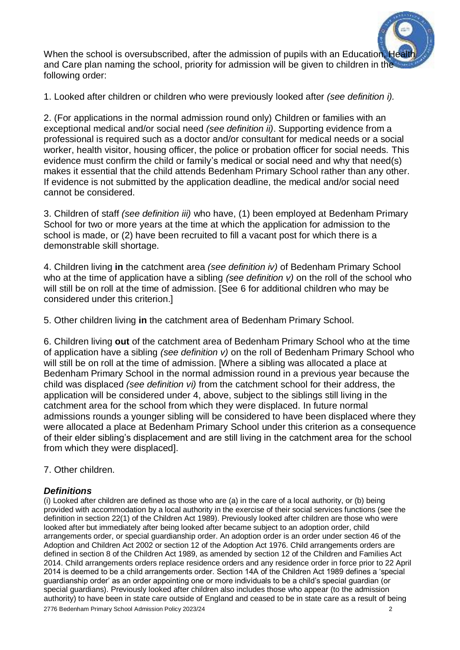

1. Looked after children or children who were previously looked after *(see definition i).* 

2. (For applications in the normal admission round only) Children or families with an exceptional medical and/or social need *(see definition ii)*. Supporting evidence from a professional is required such as a doctor and/or consultant for medical needs or a social worker, health visitor, housing officer, the police or probation officer for social needs. This evidence must confirm the child or family's medical or social need and why that need(s) makes it essential that the child attends Bedenham Primary School rather than any other. If evidence is not submitted by the application deadline, the medical and/or social need cannot be considered.

3. Children of staff *(see definition iii)* who have, (1) been employed at Bedenham Primary School for two or more years at the time at which the application for admission to the school is made, or (2) have been recruited to fill a vacant post for which there is a demonstrable skill shortage.

4. Children living **in** the catchment area *(see definition iv)* of Bedenham Primary School who at the time of application have a sibling *(see definition v)* on the roll of the school who will still be on roll at the time of admission. [See 6 for additional children who may be considered under this criterion.]

5. Other children living **in** the catchment area of Bedenham Primary School*.*

6. Children living **out** of the catchment area of Bedenham Primary School who at the time of application have a sibling *(see definition v)* on the roll of Bedenham Primary School who will still be on roll at the time of admission. [Where a sibling was allocated a place at Bedenham Primary School in the normal admission round in a previous year because the child was displaced *(see definition vi)* from the catchment school for their address, the application will be considered under 4, above, subject to the siblings still living in the catchment area for the school from which they were displaced. In future normal admissions rounds a younger sibling will be considered to have been displaced where they were allocated a place at Bedenham Primary School under this criterion as a consequence of their elder sibling's displacement and are still living in the catchment area for the school from which they were displaced].

7. Other children.

## *Definitions*

2776 Bedenham Primary School Admission Policy 2023/24 2 (i) Looked after children are defined as those who are (a) in the care of a local authority, or (b) being provided with accommodation by a local authority in the exercise of their social services functions (see the definition in section 22(1) of the Children Act 1989). Previously looked after children are those who were looked after but immediately after being looked after became subject to an adoption order, child arrangements order, or special guardianship order. An adoption order is an order under section 46 of the Adoption and Children Act 2002 or section 12 of the Adoption Act 1976. Child arrangements orders are defined in section 8 of the Children Act 1989, as amended by section 12 of the Children and Families Act 2014. Child arrangements orders replace residence orders and any residence order in force prior to 22 April 2014 is deemed to be a child arrangements order. Section 14A of the Children Act 1989 defines a 'special guardianship order' as an order appointing one or more individuals to be a child's special guardian (or special guardians). Previously looked after children also includes those who appear (to the admission authority) to have been in state care outside of England and ceased to be in state care as a result of being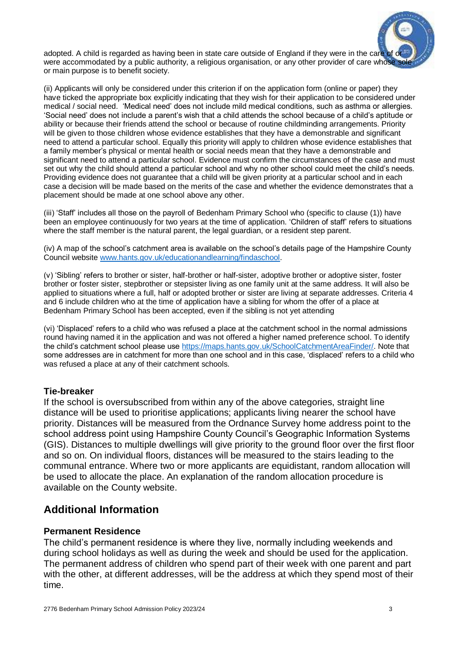

(ii) Applicants will only be considered under this criterion if on the application form (online or paper) they have ticked the appropriate box explicitly indicating that they wish for their application to be considered under medical / social need. 'Medical need' does not include mild medical conditions, such as asthma or allergies. 'Social need' does not include a parent's wish that a child attends the school because of a child's aptitude or ability or because their friends attend the school or because of routine childminding arrangements. Priority will be given to those children whose evidence establishes that they have a demonstrable and significant need to attend a particular school. Equally this priority will apply to children whose evidence establishes that a family member's physical or mental health or social needs mean that they have a demonstrable and significant need to attend a particular school. Evidence must confirm the circumstances of the case and must set out why the child should attend a particular school and why no other school could meet the child's needs. Providing evidence does not guarantee that a child will be given priority at a particular school and in each case a decision will be made based on the merits of the case and whether the evidence demonstrates that a placement should be made at one school above any other.

(iii) 'Staff' includes all those on the payroll of Bedenham Primary School who (specific to clause (1)) have been an employee continuously for two years at the time of application. 'Children of staff' refers to situations where the staff member is the natural parent, the legal guardian, or a resident step parent.

(iv) A map of the school's catchment area is available on the school's details page of the Hampshire County Council website [www.hants.gov.uk/educationandlearning/findaschool.](http://www.hants.gov.uk/educationandlearning/findaschool)

(v) 'Sibling' refers to brother or sister, half-brother or half-sister, adoptive brother or adoptive sister, foster brother or foster sister, stepbrother or stepsister living as one family unit at the same address. It will also be applied to situations where a full, half or adopted brother or sister are living at separate addresses. Criteria 4 and 6 include children who at the time of application have a sibling for whom the offer of a place at Bedenham Primary School has been accepted, even if the sibling is not yet attending

(vi) 'Displaced' refers to a child who was refused a place at the catchment school in the normal admissions round having named it in the application and was not offered a higher named preference school. To identify the child's catchment school please use [https://maps.hants.gov.uk/SchoolCatchmentAreaFinder/.](https://maps.hants.gov.uk/SchoolCatchmentAreaFinder/) Note that some addresses are in catchment for more than one school and in this case, 'displaced' refers to a child who was refused a place at any of their catchment schools.

### **Tie-breaker**

If the school is oversubscribed from within any of the above categories, straight line distance will be used to prioritise applications; applicants living nearer the school have priority. Distances will be measured from the Ordnance Survey home address point to the school address point using Hampshire County Council's Geographic Information Systems (GIS). Distances to multiple dwellings will give priority to the ground floor over the first floor and so on. On individual floors, distances will be measured to the stairs leading to the communal entrance. Where two or more applicants are equidistant, random allocation will be used to allocate the place. An explanation of the random allocation procedure is available on the County website.

# **Additional Information**

### **Permanent Residence**

The child's permanent residence is where they live, normally including weekends and during school holidays as well as during the week and should be used for the application. The permanent address of children who spend part of their week with one parent and part with the other, at different addresses, will be the address at which they spend most of their time.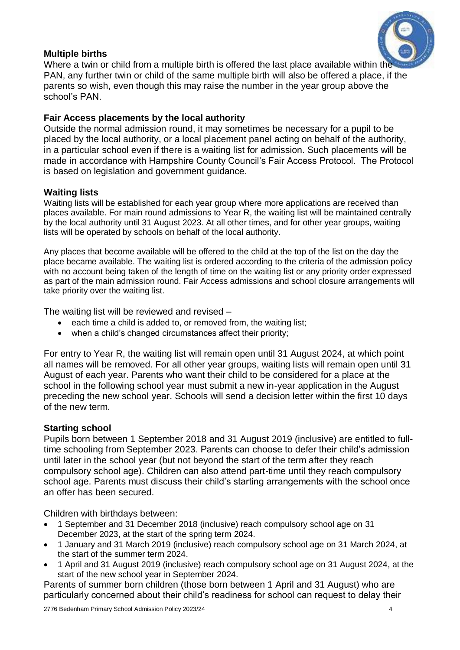# **Multiple births**

Where a twin or child from a multiple birth is offered the last place available within the PAN, any further twin or child of the same multiple birth will also be offered a place, if the parents so wish, even though this may raise the number in the year group above the school's PAN.

# **Fair Access placements by the local authority**

Outside the normal admission round, it may sometimes be necessary for a pupil to be placed by the local authority, or a local placement panel acting on behalf of the authority, in a particular school even if there is a waiting list for admission. Such placements will be made in accordance with Hampshire County Council's Fair Access Protocol. The Protocol is based on legislation and government guidance.

## **Waiting lists**

Waiting lists will be established for each year group where more applications are received than places available. For main round admissions to Year R, the waiting list will be maintained centrally by the local authority until 31 August 2023. At all other times, and for other year groups, waiting lists will be operated by schools on behalf of the local authority.

Any places that become available will be offered to the child at the top of the list on the day the place became available. The waiting list is ordered according to the criteria of the admission policy with no account being taken of the length of time on the waiting list or any priority order expressed as part of the main admission round. Fair Access admissions and school closure arrangements will take priority over the waiting list.

The waiting list will be reviewed and revised –

- each time a child is added to, or removed from, the waiting list;
- when a child's changed circumstances affect their priority;

For entry to Year R, the waiting list will remain open until 31 August 2024, at which point all names will be removed. For all other year groups, waiting lists will remain open until 31 August of each year. Parents who want their child to be considered for a place at the school in the following school year must submit a new in-year application in the August preceding the new school year. Schools will send a decision letter within the first 10 days of the new term.

## **Starting school**

Pupils born between 1 September 2018 and 31 August 2019 (inclusive) are entitled to fulltime schooling from September 2023. Parents can choose to defer their child's admission until later in the school year (but not beyond the start of the term after they reach compulsory school age). Children can also attend part-time until they reach compulsory school age. Parents must discuss their child's starting arrangements with the school once an offer has been secured.

Children with birthdays between:

- 1 September and 31 December 2018 (inclusive) reach compulsory school age on 31 December 2023, at the start of the spring term 2024.
- 1 January and 31 March 2019 (inclusive) reach compulsory school age on 31 March 2024, at the start of the summer term 2024.
- 1 April and 31 August 2019 (inclusive) reach compulsory school age on 31 August 2024, at the start of the new school year in September 2024.

Parents of summer born children (those born between 1 April and 31 August) who are particularly concerned about their child's readiness for school can request to delay their